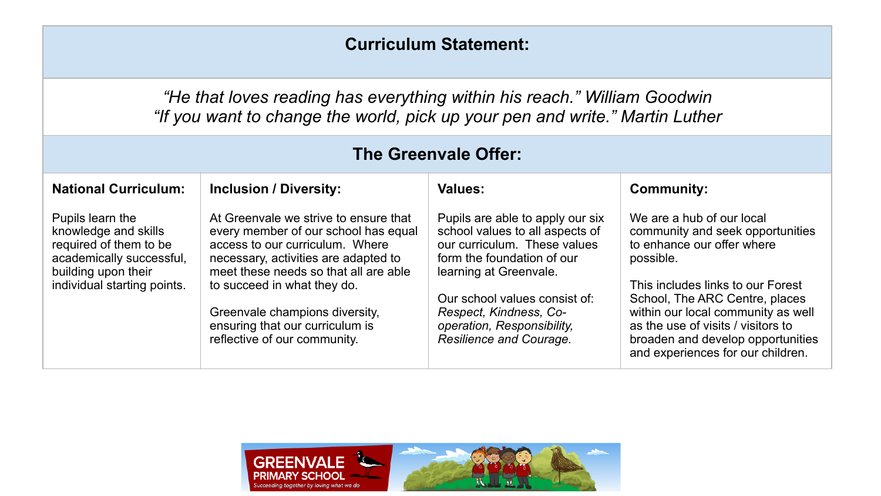## **Curriculum Statement:**

*"He that loves reading has everything within his reach." William Goodwin "If you want to change the world, pick up your pen and write." Martin Luther*

| The Greenvale Offer:                                                                                                                                 |                                                                                                                                                                                                                                                                                                                                       |                                                                                                                                                                                                                                                                                 |                                                                                                                                                                                                                                                                                                                                       |  |  |  |
|------------------------------------------------------------------------------------------------------------------------------------------------------|---------------------------------------------------------------------------------------------------------------------------------------------------------------------------------------------------------------------------------------------------------------------------------------------------------------------------------------|---------------------------------------------------------------------------------------------------------------------------------------------------------------------------------------------------------------------------------------------------------------------------------|---------------------------------------------------------------------------------------------------------------------------------------------------------------------------------------------------------------------------------------------------------------------------------------------------------------------------------------|--|--|--|
| <b>National Curriculum:</b>                                                                                                                          | <b>Inclusion / Diversity:</b>                                                                                                                                                                                                                                                                                                         | Values:                                                                                                                                                                                                                                                                         | <b>Community:</b>                                                                                                                                                                                                                                                                                                                     |  |  |  |
| Pupils learn the<br>knowledge and skills<br>required of them to be<br>academically successful,<br>building upon their<br>individual starting points. | At Greenvale we strive to ensure that<br>every member of our school has equal<br>access to our curriculum. Where<br>necessary, activities are adapted to<br>meet these needs so that all are able<br>to succeed in what they do.<br>Greenvale champions diversity,<br>ensuring that our curriculum is<br>reflective of our community. | Pupils are able to apply our six<br>school values to all aspects of<br>our curriculum. These values<br>form the foundation of our<br>learning at Greenvale.<br>Our school values consist of:<br>Respect, Kindness, Co-<br>operation, Responsibility,<br>Resilience and Courage. | We are a hub of our local<br>community and seek opportunities<br>to enhance our offer where<br>possible.<br>This includes links to our Forest<br>School, The ARC Centre, places<br>within our local community as well<br>as the use of visits / visitors to<br>broaden and develop opportunities<br>and experiences for our children. |  |  |  |

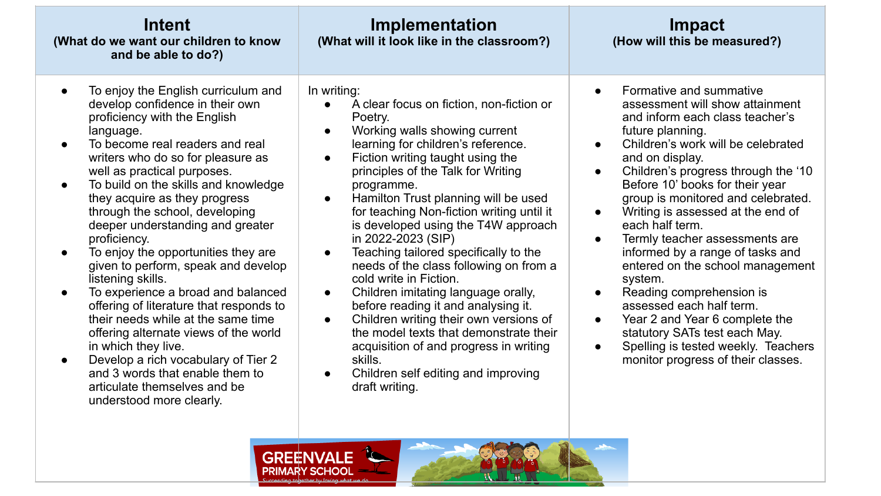| Intent<br>(What do we want our children to know<br>and be able to do?)                                                                                                                                                                                                                                                                                                                                                                                                                                                                                                                                                                                                                                                                                                                                                             | Implementation<br>(What will it look like in the classroom?)                                                                                                                                                                                                                                                                                                                                                                                                                                                                                                                                                                                                                                                                                                                                                                                                                | Impact<br>(How will this be measured?)                                                                                                                                                                                                                                                                                                                                                                                                                                                                                                                                                                                                                                                                                                                        |  |  |  |
|------------------------------------------------------------------------------------------------------------------------------------------------------------------------------------------------------------------------------------------------------------------------------------------------------------------------------------------------------------------------------------------------------------------------------------------------------------------------------------------------------------------------------------------------------------------------------------------------------------------------------------------------------------------------------------------------------------------------------------------------------------------------------------------------------------------------------------|-----------------------------------------------------------------------------------------------------------------------------------------------------------------------------------------------------------------------------------------------------------------------------------------------------------------------------------------------------------------------------------------------------------------------------------------------------------------------------------------------------------------------------------------------------------------------------------------------------------------------------------------------------------------------------------------------------------------------------------------------------------------------------------------------------------------------------------------------------------------------------|---------------------------------------------------------------------------------------------------------------------------------------------------------------------------------------------------------------------------------------------------------------------------------------------------------------------------------------------------------------------------------------------------------------------------------------------------------------------------------------------------------------------------------------------------------------------------------------------------------------------------------------------------------------------------------------------------------------------------------------------------------------|--|--|--|
| To enjoy the English curriculum and<br>develop confidence in their own<br>proficiency with the English<br>language.<br>To become real readers and real<br>writers who do so for pleasure as<br>well as practical purposes.<br>To build on the skills and knowledge<br>they acquire as they progress<br>through the school, developing<br>deeper understanding and greater<br>proficiency.<br>To enjoy the opportunities they are<br>given to perform, speak and develop<br>listening skills.<br>To experience a broad and balanced<br>offering of literature that responds to<br>their needs while at the same time<br>offering alternate views of the world<br>in which they live.<br>Develop a rich vocabulary of Tier 2<br>and 3 words that enable them to<br>articulate themselves and be<br>understood more clearly.<br>GREËN | In writing:<br>A clear focus on fiction, non-fiction or<br>Poetry.<br>Working walls showing current<br>$\bullet$<br>learning for children's reference.<br>Fiction writing taught using the<br>$\bullet$<br>principles of the Talk for Writing<br>programme.<br>Hamilton Trust planning will be used<br>$\bullet$<br>for teaching Non-fiction writing until it<br>is developed using the T4W approach<br>in 2022-2023 (SIP)<br>Teaching tailored specifically to the<br>$\bullet$<br>needs of the class following on from a<br>cold write in Fiction.<br>Children imitating language orally,<br>$\bullet$<br>before reading it and analysing it.<br>Children writing their own versions of<br>$\bullet$<br>the model texts that demonstrate their<br>acquisition of and progress in writing<br>skills.<br>Children self editing and improving<br>$\bullet$<br>draft writing. | Formative and summative<br>$\bullet$<br>assessment will show attainment<br>and inform each class teacher's<br>future planning.<br>Children's work will be celebrated<br>and on display.<br>Children's progress through the '10<br>Before 10' books for their year<br>group is monitored and celebrated.<br>Writing is assessed at the end of<br>$\bullet$<br>each half term.<br>Termly teacher assessments are<br>$\bullet$<br>informed by a range of tasks and<br>entered on the school management<br>system.<br>Reading comprehension is<br>$\bullet$<br>assessed each half term.<br>Year 2 and Year 6 complete the<br>$\bullet$<br>statutory SATs test each May.<br>Spelling is tested weekly. Teachers<br>$\bullet$<br>monitor progress of their classes. |  |  |  |
| PRIMARY SCHOOI                                                                                                                                                                                                                                                                                                                                                                                                                                                                                                                                                                                                                                                                                                                                                                                                                     |                                                                                                                                                                                                                                                                                                                                                                                                                                                                                                                                                                                                                                                                                                                                                                                                                                                                             |                                                                                                                                                                                                                                                                                                                                                                                                                                                                                                                                                                                                                                                                                                                                                               |  |  |  |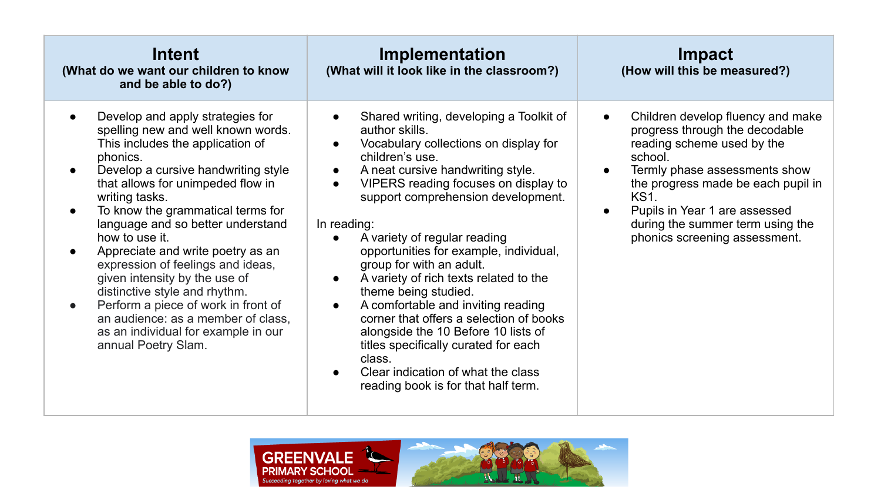| Intent<br>(What do we want our children to know<br>and be able to do?)                                                                                                                                                                                                                                                                                                                                                                                                                                                                                                                                                                         | Implementation<br>(What will it look like in the classroom?)                                                                                                                                                                                                                                                                                                                                                                                                                                                                                                                                                                                                                                                                                                                                   | Impact<br>(How will this be measured?)                                                                                                                                                                                                                                                                                                          |
|------------------------------------------------------------------------------------------------------------------------------------------------------------------------------------------------------------------------------------------------------------------------------------------------------------------------------------------------------------------------------------------------------------------------------------------------------------------------------------------------------------------------------------------------------------------------------------------------------------------------------------------------|------------------------------------------------------------------------------------------------------------------------------------------------------------------------------------------------------------------------------------------------------------------------------------------------------------------------------------------------------------------------------------------------------------------------------------------------------------------------------------------------------------------------------------------------------------------------------------------------------------------------------------------------------------------------------------------------------------------------------------------------------------------------------------------------|-------------------------------------------------------------------------------------------------------------------------------------------------------------------------------------------------------------------------------------------------------------------------------------------------------------------------------------------------|
| Develop and apply strategies for<br>spelling new and well known words.<br>This includes the application of<br>phonics.<br>Develop a cursive handwriting style<br>that allows for unimpeded flow in<br>writing tasks.<br>To know the grammatical terms for<br>$\bullet$<br>language and so better understand<br>how to use it.<br>Appreciate and write poetry as an<br>$\bullet$<br>expression of feelings and ideas,<br>given intensity by the use of<br>distinctive style and rhythm.<br>Perform a piece of work in front of<br>$\bullet$<br>an audience: as a member of class,<br>as an individual for example in our<br>annual Poetry Slam. | Shared writing, developing a Toolkit of<br>$\bullet$<br>author skills.<br>Vocabulary collections on display for<br>$\bullet$<br>children's use.<br>A neat cursive handwriting style.<br>$\bullet$<br>VIPERS reading focuses on display to<br>$\bullet$<br>support comprehension development.<br>In reading:<br>A variety of regular reading<br>$\bullet$<br>opportunities for example, individual,<br>group for with an adult.<br>A variety of rich texts related to the<br>$\bullet$<br>theme being studied.<br>A comfortable and inviting reading<br>$\bullet$<br>corner that offers a selection of books<br>alongside the 10 Before 10 lists of<br>titles specifically curated for each<br>class.<br>Clear indication of what the class<br>$\bullet$<br>reading book is for that half term. | Children develop fluency and make<br>$\bullet$<br>progress through the decodable<br>reading scheme used by the<br>school.<br>Termly phase assessments show<br>$\bullet$<br>the progress made be each pupil in<br><b>KS1.</b><br>Pupils in Year 1 are assessed<br>$\bullet$<br>during the summer term using the<br>phonics screening assessment. |